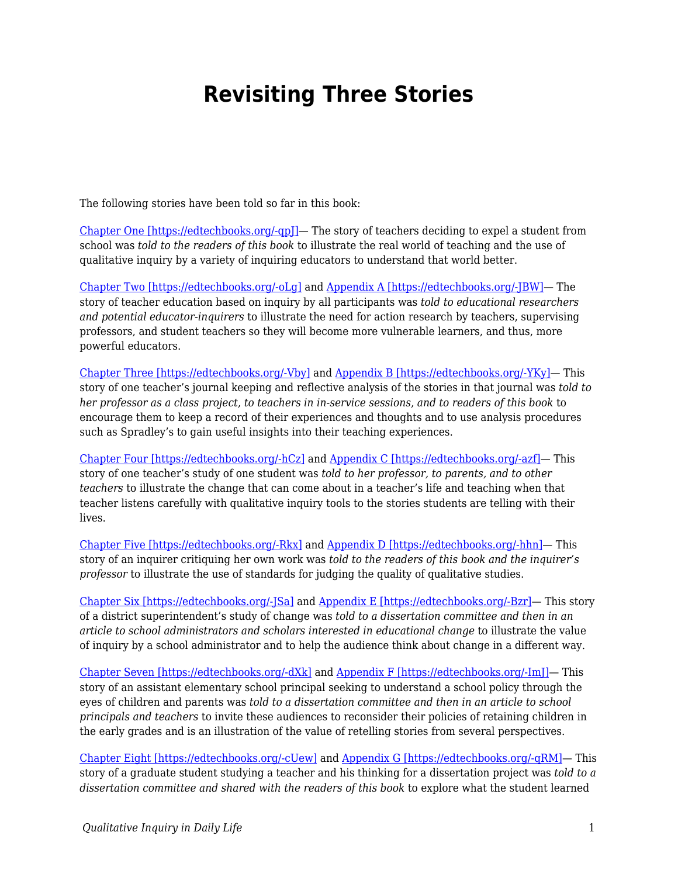## **Revisiting Three Stories**

The following stories have been told so far in this book:

[Chapter One \[https://edtechbooks.org/-qpJ\]—](https://edtechbooks.org/qualitativeinquiry/overview) The story of teachers deciding to expel a student from school was *told to the readers of this book* to illustrate the real world of teaching and the use of qualitative inquiry by a variety of inquiring educators to understand that world better.

[Chapter Two \[https://edtechbooks.org/-oLg\]](https://edtechbooks.org/qualitativeinquiry/assumptions) and [Appendix A \[https://edtechbooks.org/-JBW\]](https://edtechbooks.org/qualitativeinquiry/appendixa)— The story of teacher education based on inquiry by all participants was *told to educational researchers and potential educator-inquirers* to illustrate the need for action research by teachers, supervising professors, and student teachers so they will become more vulnerable learners, and thus, more powerful educators.

[Chapter Three \[https://edtechbooks.org/-Vby\]](https://edtechbooks.org/qualitativeinquiry/keeping_a_record) and [Appendix B \[https://edtechbooks.org/-YKy\]](https://edtechbooks.org/qualitativeinquiry/appendixb)— This story of one teacher's journal keeping and reflective analysis of the stories in that journal was *told to her professor as a class project, to teachers in in-service sessions, and to readers of this book* to encourage them to keep a record of their experiences and thoughts and to use analysis procedures such as Spradley's to gain useful insights into their teaching experiences.

[Chapter Four \[https://edtechbooks.org/-hCz\]](https://edtechbooks.org/qualitativeinquiry/relationship_building) and [Appendix C \[https://edtechbooks.org/-azf\]](https://edtechbooks.org/qualitativeinquiry/appendixc)— This story of one teacher's study of one student was *told to her professor, to parents, and to other teachers* to illustrate the change that can come about in a teacher's life and teaching when that teacher listens carefully with qualitative inquiry tools to the stories students are telling with their lives.

[Chapter Five \[https://edtechbooks.org/-Rkx\]](https://edtechbooks.org/qualitativeinquiry/standards_and_quality) and [Appendix D \[https://edtechbooks.org/-hhn\]](https://edtechbooks.org/qualitativeinquiry/appendixd)— This story of an inquirer critiquing her own work was *told to the readers of this book and the inquirer's professor* to illustrate the use of standards for judging the quality of qualitative studies.

[Chapter Six \[https://edtechbooks.org/-JSa\]](https://edtechbooks.org/qualitativeinquiry/focusing_inquiry) and [Appendix E \[https://edtechbooks.org/-Bzr\]](https://edtechbooks.org/qualitativeinquiry/appendixe)— This story of a district superintendent's study of change was *told to a dissertation committee and then in an article to school administrators and scholars interested in educational change* to illustrate the value of inquiry by a school administrator and to help the audience think about change in a different way.

[Chapter Seven \[https://edtechbooks.org/-dXk\]](https://edtechbooks.org/qualitativeinquiry/data_collection) and [Appendix F \[https://edtechbooks.org/-ImJ\]](https://edtechbooks.org/qualitativeinquiry/appendixf)— This story of an assistant elementary school principal seeking to understand a school policy through the eyes of children and parents was *told to a dissertation committee and then in an article to school principals and teachers* to invite these audiences to reconsider their policies of retaining children in the early grades and is an illustration of the value of retelling stories from several perspectives.

[Chapter Eight \[https://edtechbooks.org/-cUew\]](https://edtechbooks.org/qualitativeinquiry/data_interpretation) and [Appendix G \[https://edtechbooks.org/-qRM\]—](https://edtechbooks.org/qualitativeinquiry/appendixg) This story of a graduate student studying a teacher and his thinking for a dissertation project was *told to a dissertation committee and shared with the readers of this book* to explore what the student learned